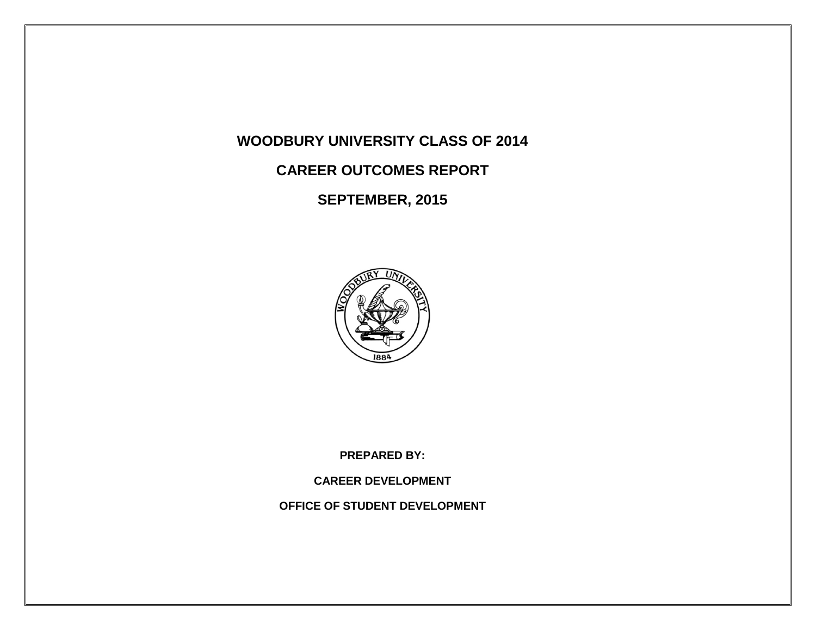# **WOODBURY UNIVERSITY CLASS OF 2014**

# **CAREER OUTCOMES REPORT**

**SEPTEMBER, 2015**



**PREPARED BY:**

**CAREER DEVELOPMENT**

**OFFICE OF STUDENT DEVELOPMENT**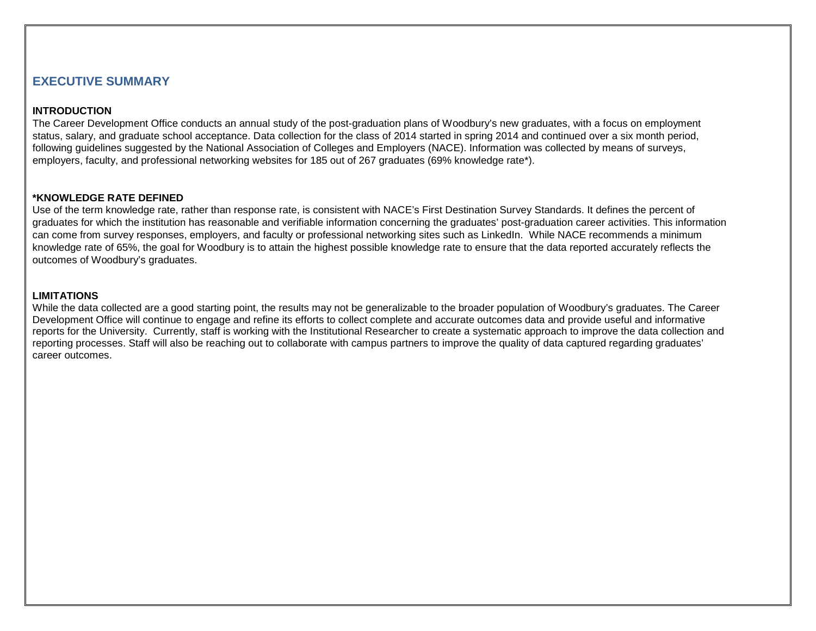## **EXECUTIVE SUMMARY**

### **INTRODUCTION**

The Career Development Office conducts an annual study of the post-graduation plans of Woodbury's new graduates, with a focus on employment status, salary, and graduate school acceptance. Data collection for the class of 2014 started in spring 2014 and continued over a six month period, following guidelines suggested by the National Association of Colleges and Employers (NACE). Information was collected by means of surveys, employers, faculty, and professional networking websites for 185 out of 267 graduates (69% knowledge rate\*).

#### **\*KNOWLEDGE RATE DEFINED**

Use of the term knowledge rate, rather than response rate, is consistent with NACE's First Destination Survey Standards. It defines the percent of graduates for which the institution has reasonable and verifiable information concerning the graduates' post-graduation career activities. This information can come from survey responses, employers, and faculty or professional networking sites such as LinkedIn. While NACE recommends a minimum knowledge rate of 65%, the goal for Woodbury is to attain the highest possible knowledge rate to ensure that the data reported accurately reflects the outcomes of Woodbury's graduates.

#### **LIMITATIONS**

While the data collected are a good starting point, the results may not be generalizable to the broader population of Woodbury's graduates. The Career Development Office will continue to engage and refine its efforts to collect complete and accurate outcomes data and provide useful and informative reports for the University. Currently, staff is working with the Institutional Researcher to create a systematic approach to improve the data collection and reporting processes. Staff will also be reaching out to collaborate with campus partners to improve the quality of data captured regarding graduates' career outcomes.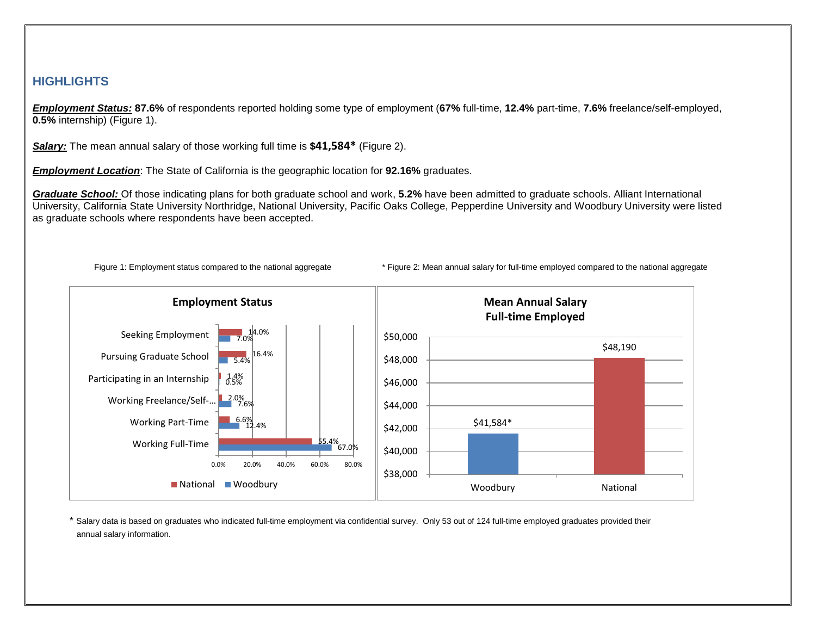## **HIGHLIGHTS**

*Employment Status:* **87.6%** of respondents reported holding some type of employment (**67%** full-time, **12.4%** part-time, **7.6%** freelance/self-employed, **0.5%** internship) (Figure 1).

*Salary:* The mean annual salary of those working full time is **\$41,584\*** (Figure 2).

*Employment Location*: The State of California is the geographic location for **92.16%** graduates.

*Graduate School:* Of those indicating plans for both graduate school and work, **5.2%** have been admitted to graduate schools. Alliant International University, California State University Northridge, National University, Pacific Oaks College, Pepperdine University and Woodbury University were listed as graduate schools where respondents have been accepted.



Figure 1: Employment status compared to the national aggregate \* Figure 2: Mean annual salary for full-time employed compared to the national aggregate

\* Salary data is based on graduates who indicated full-time employment via confidential survey. Only 53 out of 124 full-time employed graduates provided their annual salary information.